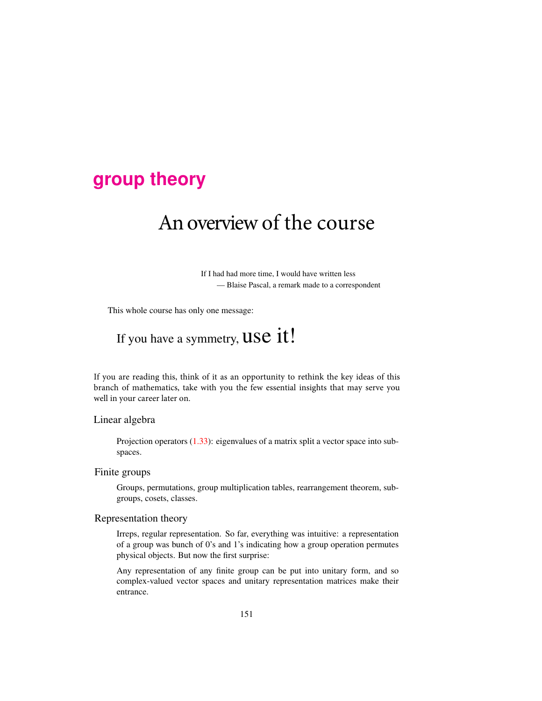### **group [theory](http://birdtracks.eu/courses/PHYS-7143-19/schedule.html)**

# An overview of the course

If I had had more time, I would have written less — Blaise Pascal, a remark made to a correspondent

This whole course has only one message:

## If you have a symmetry, USC it!

If you are reading this, think of it as an opportunity to rethink the key ideas of this branch of mathematics, take with you the few essential insights that may serve you well in your career later on.

#### Linear algebra

Projection operators  $(1.33)$ : eigenvalues of a matrix split a vector space into subspaces.

#### Finite groups

Groups, permutations, group multiplication tables, rearrangement theorem, subgroups, cosets, classes.

#### Representation theory

Irreps, regular representation. So far, everything was intuitive: a representation of a group was bunch of 0's and 1's indicating how a group operation permutes physical objects. But now the first surprise:

Any representation of any finite group can be put into unitary form, and so complex-valued vector spaces and unitary representation matrices make their entrance.